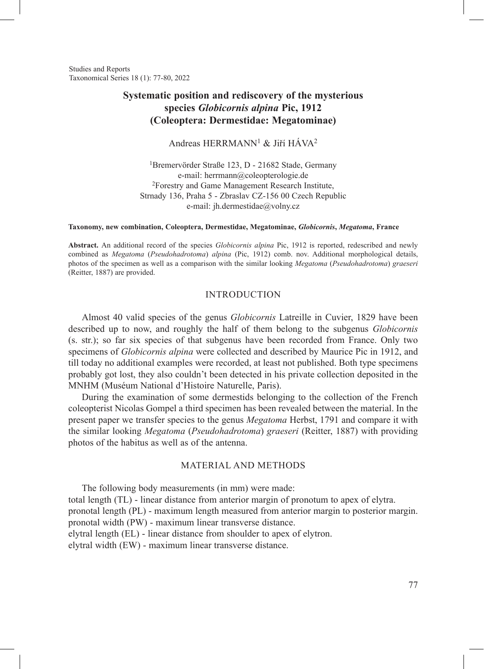Studies and Reports Taxonomical Series 18 (1): 77-80, 2022

# **Systematic position and rediscovery of the mysterious species** *Globicornis alpina* **Pic, 1912 (Coleoptera: Dermestidae: Megatominae)**

Andreas HERRMANN1 & Jiří HÁVA<sup>2</sup>

1Bremervörder Straße 123, D - 21682 Stade, Germany e-mail: herrmann@coleopterologie.de 2Forestry and Game Management Research Institute, Strnady 136, Praha 5 - Zbraslav CZ-156 00 Czech Republic e-mail: jh.dermestidae@volny.cz

**Taxonomy, new combination, Coleoptera, Dermestidae, Megatominae,** *Globicornis***,** *Megatoma***, France**

**Abstract.** An additional record of the species *Globicornis alpina* Pic, 1912 is reported, redescribed and newly combined as *Megatoma* (*Pseudohadrotoma*) *alpina* (Pic, 1912) comb. nov. Additional morphological details, photos of the specimen as well as a comparison with the similar looking *Megatoma* (*Pseudohadrotoma*) *graeseri* (Reitter, 1887) are provided.

# INTRODUCTION

Almost 40 valid species of the genus *Globicornis* Latreille in Cuvier, 1829 have been described up to now, and roughly the half of them belong to the subgenus *Globicornis* (s. str.); so far six species of that subgenus have been recorded from France. Only two specimens of *Globicornis alpina* were collected and described by Maurice Pic in 1912, and till today no additional examples were recorded, at least not published. Both type specimens probably got lost, they also couldn't been detected in his private collection deposited in the MNHM (Muséum National d'Histoire Naturelle, Paris).

During the examination of some dermestids belonging to the collection of the French coleopterist Nicolas Gompel a third specimen has been revealed between the material. In the present paper we transfer species to the genus *Megatoma* Herbst, 1791 and compare it with the similar looking *Megatoma* (*Pseudohadrotoma*) *graeseri* (Reitter, 1887) with providing photos of the habitus as well as of the antenna.

# MATERIAL AND METHODS

The following body measurements (in mm) were made: total length (TL) - linear distance from anterior margin of pronotum to apex of elytra. pronotal length (PL) - maximum length measured from anterior margin to posterior margin. pronotal width (PW) - maximum linear transverse distance. elytral length (EL) - linear distance from shoulder to apex of elytron. elytral width (EW) - maximum linear transverse distance.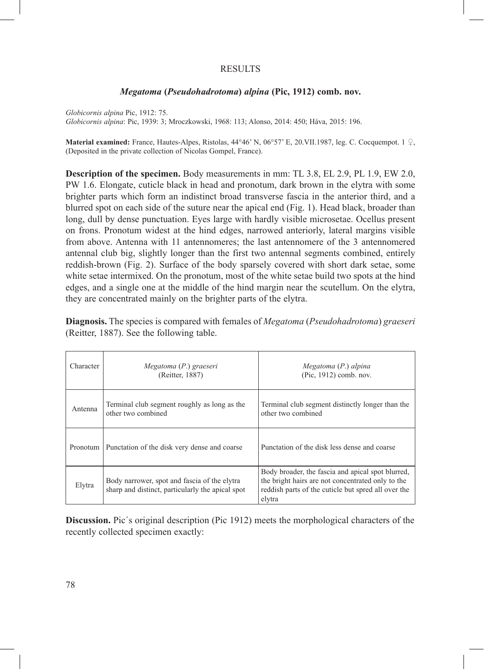# RESULTS

# *Megatoma* **(***Pseudohadrotoma***)** *alpina* **(Pic, 1912) comb. nov.**

*Globicornis alpina* Pic, 1912: 75. *Globicornis alpina*: Pic, 1939: 3; Mroczkowski, 1968: 113; Alonso, 2014: 450; Háva, 2015: 196.

**Material examined:** France, Hautes-Alpes, Ristolas, 44°46' N, 06°57' E, 20.VII.1987, leg. C. Cocquempot. 1 ♀, (Deposited in the private collection of Nicolas Gompel, France).

**Description of the specimen.** Body measurements in mm: TL 3.8, EL 2.9, PL 1.9, EW 2.0, PW 1.6. Elongate, cuticle black in head and pronotum, dark brown in the elytra with some brighter parts which form an indistinct broad transverse fascia in the anterior third, and a blurred spot on each side of the suture near the apical end (Fig. 1). Head black, broader than long, dull by dense punctuation. Eyes large with hardly visible microsetae. Ocellus present on frons. Pronotum widest at the hind edges, narrowed anteriorly, lateral margins visible from above. Antenna with 11 antennomeres; the last antennomere of the 3 antennomered antennal club big, slightly longer than the first two antennal segments combined, entirely reddish-brown (Fig. 2). Surface of the body sparsely covered with short dark setae, some white setae intermixed. On the pronotum, most of the white setae build two spots at the hind edges, and a single one at the middle of the hind margin near the scutellum. On the elytra, they are concentrated mainly on the brighter parts of the elytra.

**Diagnosis.** The species is compared with females of *Megatoma* (*Pseudohadrotoma*) *graeseri* (Reitter, 1887). See the following table.

| Character | Megatoma (P.) graeseri<br>(Reitter, 1887)                                                        | Megatoma (P.) alpina<br>(Pic, 1912) comb. nov.                                                                                                                          |
|-----------|--------------------------------------------------------------------------------------------------|-------------------------------------------------------------------------------------------------------------------------------------------------------------------------|
| Antenna   | Terminal club segment roughly as long as the<br>other two combined                               | Terminal club segment distinctly longer than the<br>other two combined                                                                                                  |
| Pronotum  | Punctation of the disk very dense and coarse                                                     | Punctation of the disk less dense and coarse                                                                                                                            |
| Elytra    | Body narrower, spot and fascia of the elytra<br>sharp and distinct, particularly the apical spot | Body broader, the fascia and apical spot blurred,<br>the bright hairs are not concentrated only to the<br>reddish parts of the cuticle but spred all over the<br>elytra |

**Discussion.** Pic´s original description (Pic 1912) meets the morphological characters of the recently collected specimen exactly: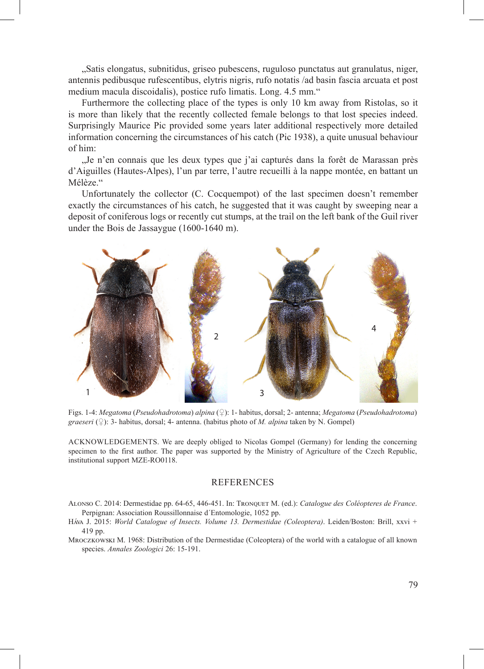"Satis elongatus, subnitidus, griseo pubescens, ruguloso punctatus aut granulatus, niger, antennis pedibusque rufescentibus, elytris nigris, rufo notatis /ad basin fascia arcuata et post medium macula discoidalis), postice rufo limatis. Long. 4.5 mm."

Furthermore the collecting place of the types is only 10 km away from Ristolas, so it is more than likely that the recently collected female belongs to that lost species indeed. Surprisingly Maurice Pic provided some years later additional respectively more detailed information concerning the circumstances of his catch (Pic 1938), a quite unusual behaviour of him:

"Je n'en connais que les deux types que j'ai capturés dans la forêt de Marassan près d'Aiguilles (Hautes-Alpes), l'un par terre, l'autre recueilli à la nappe montée, en battant un Mélèze."

Unfortunately the collector (C. Cocquempot) of the last specimen doesn't remember exactly the circumstances of his catch, he suggested that it was caught by sweeping near a deposit of coniferous logs or recently cut stumps, at the trail on the left bank of the Guil river under the Bois de Jassaygue (1600-1640 m).



Figs. 1-4: *Megatoma* (*Pseudohadrotoma*) *alpina* (♀): 1- habitus, dorsal; 2- antenna; *Megatoma* (*Pseudohadrotoma*) *graeseri* (♀): 3- habitus, dorsal; 4- antenna. (habitus photo of *M. alpina* taken by N. Gompel)

ACKNOWLEDGEMENTS. We are deeply obliged to Nicolas Gompel (Germany) for lending the concerning specimen to the first author. The paper was supported by the Ministry of Agriculture of the Czech Republic, institutional support MZE-RO0118.

#### REFERENCES

Alonso C. 2014: Dermestidae pp. 64-65, 446-451. In: Tronquet M. (ed.): *Catalogue des Coléopteres de France*. Perpignan: Association Roussillonnaise d´Entomologie, 1052 pp.

- Háva J. 2015: *World Catalogue of Insects. Volume 13. Dermestidae (Coleoptera)*. Leiden/Boston: Brill, xxvi + 419 pp.
- Mroczkowski M. 1968: Distribution of the Dermestidae (Coleoptera) of the world with a catalogue of all known species. *Annales Zoologici* 26: 15-191.